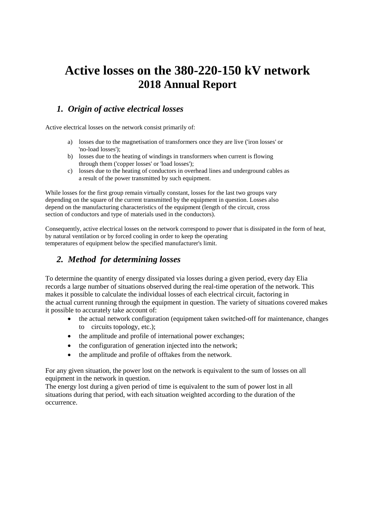# **Active losses on the 380-220-150 kV network 2018 Annual Report**

## *1. Origin of active electrical losses*

Active electrical losses on the network consist primarily of:

- a) losses due to the magnetisation of transformers once they are live ('iron losses' or 'no-load losses');
- b) losses due to the heating of windings in transformers when current is flowing through them ('copper losses' or 'load losses');
- c) losses due to the heating of conductors in overhead lines and underground cables as a result of the power transmitted by such equipment.

While losses for the first group remain virtually constant, losses for the last two groups vary depending on the square of the current transmitted by the equipment in question. Losses also depend on the manufacturing characteristics of the equipment (length of the circuit, cross section of conductors and type of materials used in the conductors).

Consequently, active electrical losses on the network correspond to power that is dissipated in the form of heat, by natural ventilation or by forced cooling in order to keep the operating temperatures of equipment below the specified manufacturer's limit.

## *2. Method for determining losses*

To determine the quantity of energy dissipated via losses during a given period, every day Elia records a large number of situations observed during the real-time operation of the network. This makes it possible to calculate the individual losses of each electrical circuit, factoring in the actual current running through the equipment in question. The variety of situations covered makes it possible to accurately take account of:

- the actual network configuration (equipment taken switched-off for maintenance, changes to circuits topology, etc.);
- the amplitude and profile of international power exchanges;
- the configuration of generation injected into the network;
- the amplitude and profile of offtakes from the network.

For any given situation, the power lost on the network is equivalent to the sum of losses on all equipment in the network in question.

The energy lost during a given period of time is equivalent to the sum of power lost in all situations during that period, with each situation weighted according to the duration of the occurrence.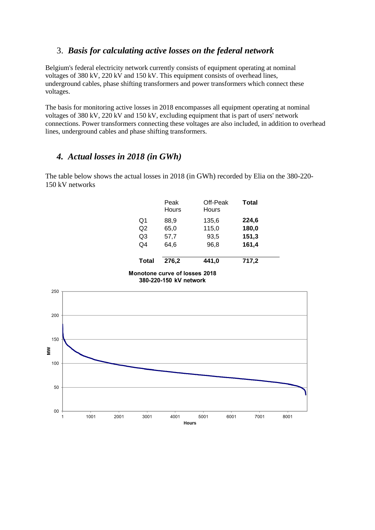### 3. *Basis for calculating active losses on the federal network*

Belgium's federal electricity network currently consists of equipment operating at nominal voltages of 380 kV, 220 kV and 150 kV. This equipment consists of overhead lines, underground cables, phase shifting transformers and power transformers which connect these voltages.

The basis for monitoring active losses in 2018 encompasses all equipment operating at nominal voltages of 380 kV, 220 kV and 150 kV, excluding equipment that is part of users' network connections. Power transformers connecting these voltages are also included, in addition to overhead lines, underground cables and phase shifting transformers.

#### *4. Actual losses in 2018 (in GWh)*

The table below shows the actual losses in 2018 (in GWh) recorded by Elia on the 380-220- 150 kV networks

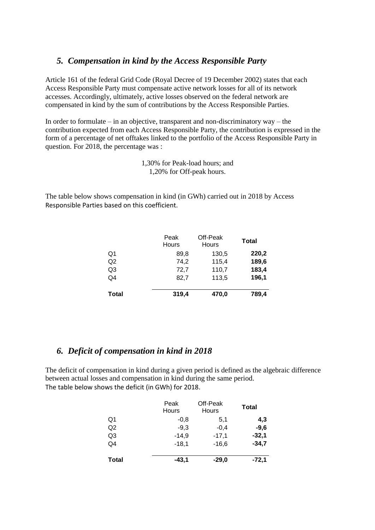### *5. Compensation in kind by the Access Responsible Party*

Article 161 of the federal Grid Code (Royal Decree of 19 December 2002) states that each Access Responsible Party must compensate active network losses for all of its network accesses. Accordingly, ultimately, active losses observed on the federal network are compensated in kind by the sum of contributions by the Access Responsible Parties.

In order to formulate – in an objective, transparent and non-discriminatory way – the contribution expected from each Access Responsible Party, the contribution is expressed in the form of a percentage of net offtakes linked to the portfolio of the Access Responsible Party in question. For 2018, the percentage was :

> 1,30% for Peak-load hours; and 1,20% for Off-peak hours.

The table below shows compensation in kind (in GWh) carried out in 2018 by Access Responsible Parties based on this coefficient.

|                | Peak<br>Hours | Off-Peak<br>Hours | <b>Total</b> |
|----------------|---------------|-------------------|--------------|
| Q1             | 89.8          | 130,5             | 220,2        |
| Q <sub>2</sub> | 74,2          | 115,4             | 189,6        |
| Q3             | 72,7          | 110,7             | 183,4        |
| Q4             | 82,7          | 113,5             | 196,1        |
| <b>Total</b>   | 319,4         | 470,0             | 789,4        |

### *6. Deficit of compensation in kind in 2018*

The deficit of compensation in kind during a given period is defined as the algebraic difference between actual losses and compensation in kind during the same period. The table below shows the deficit (in GWh) for 2018.

|                | Peak<br>Hours | Off-Peak<br>Hours | Total   |
|----------------|---------------|-------------------|---------|
| Q1             | $-0.8$        | 5,1               | 4,3     |
| Q2             | $-9.3$        | $-0,4$            | $-9,6$  |
| Q <sub>3</sub> | $-14.9$       | $-17,1$           | $-32,1$ |
| Q4             | $-18,1$       | $-16,6$           | $-34,7$ |
| <b>Total</b>   | $-43,1$       | $-29,0$           | $-72,1$ |